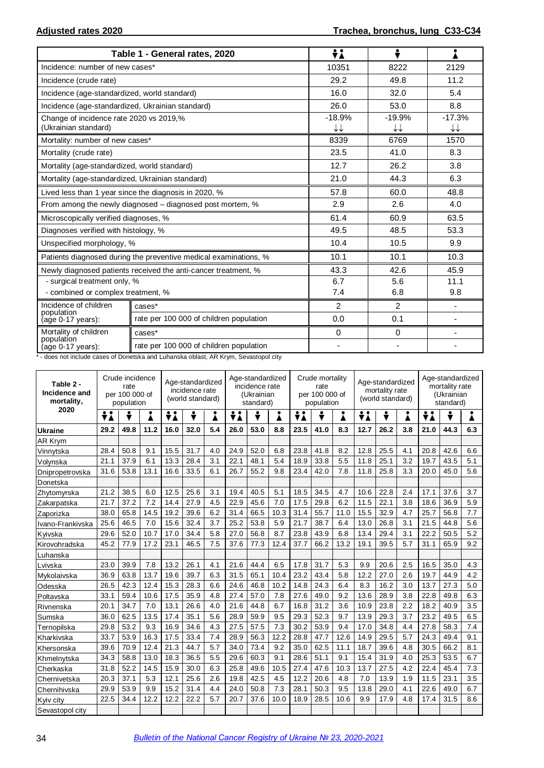|                                                                 | Table 1 - General rates, 2020                                    | ÷i                                 | ÷                                  |                |
|-----------------------------------------------------------------|------------------------------------------------------------------|------------------------------------|------------------------------------|----------------|
| Incidence: number of new cases*                                 |                                                                  | 10351                              | 8222                               | 2129           |
| Incidence (crude rate)                                          |                                                                  | 29.2                               | 49.8                               | 11.2           |
| Incidence (age-standardized, world standard)                    |                                                                  | 16.0                               | 32.0                               | 5.4            |
| Incidence (age-standardized, Ukrainian standard)                |                                                                  | 26.0                               | 53.0                               | 8.8            |
| Change of incidence rate 2020 vs 2019,%<br>(Ukrainian standard) |                                                                  | $-18.9%$<br>$\downarrow\downarrow$ | $-19.9%$<br>$\downarrow\downarrow$ | $-17.3%$<br>↓↓ |
| Mortality: number of new cases*                                 |                                                                  | 8339                               | 6769                               | 1570           |
| Mortality (crude rate)                                          |                                                                  | 23.5                               | 41.0                               | 8.3            |
| Mortality (age-standardized, world standard)                    |                                                                  | 12.7                               | 26.2                               | 3.8            |
| Mortality (age-standardized, Ukrainian standard)                |                                                                  | 21.0                               | 44.3                               | 6.3            |
|                                                                 | Lived less than 1 year since the diagnosis in 2020, %            | 57.8                               | 60.0                               | 48.8           |
|                                                                 | From among the newly diagnosed - diagnosed post mortem, %        | 2.9                                | 2.6                                | 4.0            |
| Microscopically verified diagnoses, %                           |                                                                  | 61.4                               | 60.9                               | 63.5           |
| Diagnoses verified with histology, %                            |                                                                  | 49.5                               | 48.5                               | 53.3           |
| Unspecified morphology, %                                       |                                                                  | 10.4                               | 10.5                               | 9.9            |
|                                                                 | Patients diagnosed during the preventive medical examinations, % | 10.1                               | 10.1                               | 10.3           |
|                                                                 | Newly diagnosed patients received the anti-cancer treatment, %   | 43.3                               | 42.6                               | 45.9           |
| - surgical treatment only, %                                    |                                                                  | 6.7                                | 5.6                                | 11.1           |
| - combined or complex treatment, %                              |                                                                  | 7.4                                | 6.8                                | 9.8            |
| Incidence of children<br>population                             | cases*                                                           | 2                                  | 2                                  |                |
| (age 0-17 years):                                               | rate per 100 000 of children population                          | 0.0                                | 0.1                                |                |
| Mortality of children                                           | cases*                                                           | $\Omega$                           | $\Omega$                           |                |
| population<br>(age 0-17 years):                                 | rate per 100 000 of children population                          | $\blacksquare$                     | $\blacksquare$                     |                |

\* - does not include cases of Donetska and Luhanska oblast, AR Krym, Sevastopol city

| Table 2 -<br>Incidence and<br>mortality, | Crude incidence<br>Age-standardized<br>rate<br>incidence rate<br>per 100 000 of<br>(world standard)<br>population |      |      |      |      | Age-standardized<br>incidence rate<br>(Ukrainian<br>standard) |      |      | Crude mortality<br>rate<br>per 100 000 of<br>population |      |      | Age-standardized<br>mortality rate<br>(world standard) |      |      | Age-standardized<br>mortality rate<br>(Ukrainian<br>standard) |      |      |     |
|------------------------------------------|-------------------------------------------------------------------------------------------------------------------|------|------|------|------|---------------------------------------------------------------|------|------|---------------------------------------------------------|------|------|--------------------------------------------------------|------|------|---------------------------------------------------------------|------|------|-----|
| 2020                                     | ÷i                                                                                                                | ÷    |      | ÷i   | ÷    | i                                                             | ÷i   | ÷    | Å                                                       | ÷i   | ÷    | Ā                                                      | ÷i   | ÷    | i                                                             | ÷i   | ÷    |     |
| <b>Ukraine</b>                           | 29.2                                                                                                              | 49.8 | 11.2 | 16.0 | 32.0 | 5.4                                                           | 26.0 | 53.0 | 8.8                                                     | 23.5 | 41.0 | 8.3                                                    | 12.7 | 26.2 | 3.8                                                           | 21.0 | 44.3 | 6.3 |
| <b>AR Krym</b>                           |                                                                                                                   |      |      |      |      |                                                               |      |      |                                                         |      |      |                                                        |      |      |                                                               |      |      |     |
| Vinnytska                                | 28.4                                                                                                              | 50.8 | 9.1  | 15.5 | 31.7 | 4.0                                                           | 24.9 | 52.0 | 6.8                                                     | 23.8 | 41.8 | 8.2                                                    | 12.8 | 25.5 | 4.1                                                           | 20.8 | 42.6 | 6.6 |
| Volynska                                 | 21.1                                                                                                              | 37.9 | 6.1  | 13.3 | 28.4 | 3.1                                                           | 22.1 | 48.1 | 5.4                                                     | 18.9 | 33.8 | 5.5                                                    | 11.8 | 25.1 | 3.2                                                           | 19.7 | 43.5 | 5.1 |
| Dnipropetrovska                          | 31.6                                                                                                              | 53.8 | 13.1 | 16.6 | 33.5 | 6.1                                                           | 26.7 | 55.2 | 9.8                                                     | 23.4 | 42.0 | 7.8                                                    | 11.8 | 25.8 | 3.3                                                           | 20.0 | 45.0 | 5.6 |
| Donetska                                 |                                                                                                                   |      |      |      |      |                                                               |      |      |                                                         |      |      |                                                        |      |      |                                                               |      |      |     |
| Zhytomyrska                              | 21.2                                                                                                              | 38.5 | 6.0  | 12.5 | 25.6 | 3.1                                                           | 19.4 | 40.5 | 5.1                                                     | 18.5 | 34.5 | 4.7                                                    | 10.6 | 22.8 | 2.4                                                           | 17.1 | 37.6 | 3.7 |
| Zakarpatska                              | 21.7                                                                                                              | 37.2 | 7.2  | 14.4 | 27.9 | 4.5                                                           | 22.9 | 45.6 | 7.0                                                     | 17.5 | 29.8 | 6.2                                                    | 11.5 | 22.1 | 3.8                                                           | 18.6 | 36.9 | 5.9 |
| Zaporizka                                | 38.0                                                                                                              | 65.8 | 14.5 | 19.2 | 39.6 | 6.2                                                           | 31.4 | 66.5 | 10.3                                                    | 31.4 | 55.7 | 11.0                                                   | 15.5 | 32.9 | 4.7                                                           | 25.7 | 56.8 | 7.7 |
| Ivano-Frankivska                         | 25.6                                                                                                              | 46.5 | 7.0  | 15.6 | 32.4 | 3.7                                                           | 25.2 | 53.8 | 5.9                                                     | 21.7 | 38.7 | 6.4                                                    | 13.0 | 26.8 | 3.1                                                           | 21.5 | 44.8 | 5.6 |
| Kyivska                                  | 29.6                                                                                                              | 52.0 | 10.7 | 17.0 | 34.4 | 5.8                                                           | 27.0 | 56.8 | 8.7                                                     | 23.8 | 43.9 | 6.8                                                    | 13.4 | 29.4 | 3.1                                                           | 22.2 | 50.5 | 5.2 |
| Kirovohradska                            | 45.2                                                                                                              | 77.9 | 17.2 | 23.1 | 46.5 | 7.5                                                           | 37.6 | 77.3 | 12.4                                                    | 37.7 | 66.2 | 13.2                                                   | 19.1 | 39.5 | 5.7                                                           | 31.1 | 65.9 | 9.2 |
| Luhanska                                 |                                                                                                                   |      |      |      |      |                                                               |      |      |                                                         |      |      |                                                        |      |      |                                                               |      |      |     |
| Lvivska                                  | 23.0                                                                                                              | 39.9 | 7.8  | 13.2 | 26.1 | 4.1                                                           | 21.6 | 44.4 | 6.5                                                     | 17.8 | 31.7 | 5.3                                                    | 9.9  | 20.6 | 2.5                                                           | 16.5 | 35.0 | 4.3 |
| IMvkolaivska                             | 36.9                                                                                                              | 63.8 | 13.7 | 19.6 | 39.7 | 6.3                                                           | 31.5 | 65.1 | 10.4                                                    | 23.2 | 43.4 | 5.8                                                    | 12.2 | 27.0 | 2.6                                                           | 19.7 | 44.9 | 4.2 |
| Odesska                                  | 26.5                                                                                                              | 42.3 | 12.4 | 15.3 | 28.3 | 6.6                                                           | 24.6 | 46.8 | 10.2                                                    | 14.8 | 24.3 | 6.4                                                    | 8.3  | 16.2 | 3.0                                                           | 13.7 | 27.3 | 5.0 |
| Poltavska                                | 33.1                                                                                                              | 59.4 | 10.6 | 17.5 | 35.9 | 4.8                                                           | 27.4 | 57.0 | 7.8                                                     | 27.6 | 49.0 | 9.2                                                    | 13.6 | 28.9 | 3.8                                                           | 22.8 | 49.8 | 6.3 |
| Rivnenska                                | 20.1                                                                                                              | 34.7 | 7.0  | 13.1 | 26.6 | 4.0                                                           | 21.6 | 44.8 | 6.7                                                     | 16.8 | 31.2 | 3.6                                                    | 10.9 | 23.8 | 2.2                                                           | 18.2 | 40.9 | 3.5 |
| Sumska                                   | 36.0                                                                                                              | 62.5 | 13.5 | 17.4 | 35.1 | 5.6                                                           | 28.9 | 59.9 | 9.5                                                     | 29.3 | 52.3 | 9.7                                                    | 13.9 | 29.3 | 3.7                                                           | 23.2 | 49.5 | 6.5 |
| Ternopilska                              | 29.8                                                                                                              | 53.2 | 9.3  | 16.9 | 34.6 | 4.3                                                           | 27.5 | 57.5 | 7.3                                                     | 30.2 | 53.9 | 9.4                                                    | 17.0 | 34.8 | 4.4                                                           | 27.8 | 58.3 | 7.4 |
| Kharkivska                               | 33.7                                                                                                              | 53.9 | 16.3 | 17.5 | 33.4 | 7.4                                                           | 28.9 | 56.3 | 12.2                                                    | 28.8 | 47.7 | 12.6                                                   | 14.9 | 29.5 | 5.7                                                           | 24.3 | 49.4 | 9.1 |
| Khersonska                               | 39.6                                                                                                              | 70.9 | 12.4 | 21.3 | 44.7 | 5.7                                                           | 34.0 | 73.4 | 9.2                                                     | 35.0 | 62.5 | 11.1                                                   | 18.7 | 39.6 | 4.8                                                           | 30.5 | 66.2 | 8.1 |
| Khmelnytska                              | 34.3                                                                                                              | 58.8 | 13.0 | 18.3 | 36.5 | 5.5                                                           | 29.6 | 60.3 | 9.1                                                     | 28.6 | 51.1 | 9.1                                                    | 15.4 | 31.9 | 4.0                                                           | 25.3 | 53.5 | 6.7 |
| Cherkaska                                | 31.8                                                                                                              | 52.2 | 14.5 | 15.9 | 30.0 | 6.3                                                           | 25.8 | 49.6 | 10.5                                                    | 27.4 | 47.6 | 10.3                                                   | 13.7 | 27.5 | 4.2                                                           | 22.4 | 45.4 | 7.3 |
| Chernivetska                             | 20.3                                                                                                              | 37.1 | 5.3  | 12.1 | 25.6 | 2.6                                                           | 19.8 | 42.5 | 4.5                                                     | 12.2 | 20.6 | 4.8                                                    | 7.0  | 13.9 | 1.9                                                           | 11.5 | 23.1 | 3.5 |
| Chernihivska                             | 29.9                                                                                                              | 53.9 | 9.9  | 15.2 | 31.4 | 4.4                                                           | 24.0 | 50.8 | 7.3                                                     | 28.1 | 50.3 | 9.5                                                    | 13.8 | 29.0 | 4.1                                                           | 22.6 | 49.0 | 6.7 |
| Kyiv city                                | 22.5                                                                                                              | 34.4 | 12.2 | 12.2 | 22.2 | 5.7                                                           | 20.7 | 37.6 | 10.0                                                    | 18.9 | 28.5 | 10.6                                                   | 9.9  | 17.9 | 4.8                                                           | 17.4 | 31.5 | 8.6 |
| Sevastopol city                          |                                                                                                                   |      |      |      |      |                                                               |      |      |                                                         |      |      |                                                        |      |      |                                                               |      |      |     |